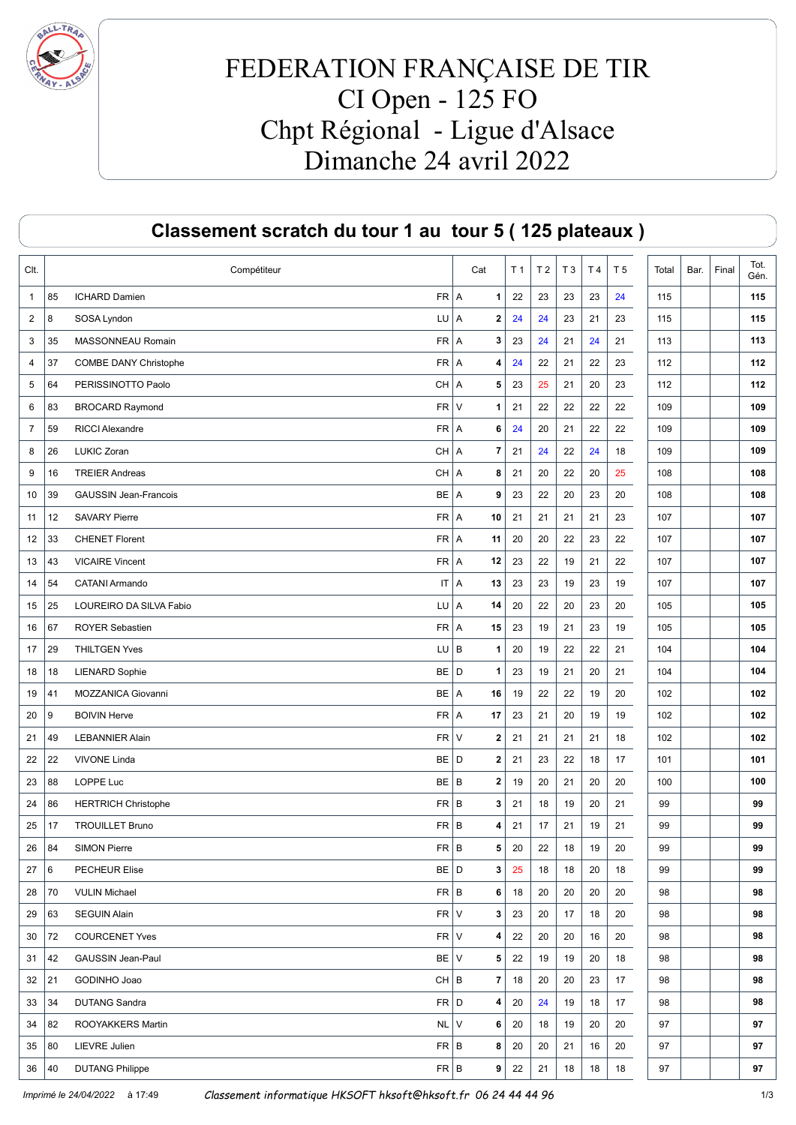

## FEDERATION FRANÇAISE DE TIR CI Open - 125 FO Chpt Régional - Ligue d'Alsace Dimanche 24 avril 2022

|                |    | Classement scratch du tour 1 au tour 5 (125 plateaux) |                         |                |                |    |                |                |       |      |       |              |
|----------------|----|-------------------------------------------------------|-------------------------|----------------|----------------|----|----------------|----------------|-------|------|-------|--------------|
| CIt.           |    | Compétiteur                                           | Cat                     | T <sub>1</sub> | T <sub>2</sub> | T3 | T <sub>4</sub> | T <sub>5</sub> | Total | Bar. | Final | Tot.<br>Gén. |
| $\mathbf{1}$   | 85 | $FR$ A<br>ICHARD Damien                               | 1                       | 22             | 23             | 23 | 23             | 24             | 115   |      |       | 115          |
| 2              | 8  | SOSA Lyndon<br>LU A                                   | $\mathbf 2$             | 24             | 24             | 23 | 21             | 23             | 115   |      |       | 115          |
| 3              | 35 | MASSONNEAU Romain<br>$FR$ $A$                         | 3                       | 23             | 24             | 21 | 24             | 21             | 113   |      |       | 113          |
| 4              | 37 | COMBE DANY Christophe<br>FR   A                       | 4                       | 24             | 22             | 21 | 22             | 23             | 112   |      |       | 112          |
| 5              | 64 | PERISSINOTTO Paolo<br>CH A                            | 5                       | 23             | 25             | 21 | 20             | 23             | 112   |      |       | 112          |
| 6              | 83 | $FR$ V<br><b>BROCARD Raymond</b>                      | $\mathbf{1}$            | 21             | 22             | 22 | 22             | 22             | 109   |      |       | 109          |
| $\overline{7}$ | 59 | <b>RICCI Alexandre</b><br>FR   A                      | 6                       | 24             | 20             | 21 | 22             | 22             | 109   |      |       | 109          |
| 8              | 26 | LUKIC Zoran<br>CH A                                   | 7                       | 21             | 24             | 22 | 24             | 18             | 109   |      |       | 109          |
| 9              | 16 | <b>TREIER Andreas</b><br>CH A                         | 8                       | 21             | 20             | 22 | 20             | 25             | 108   |      |       | 108          |
| 10             | 39 | <b>GAUSSIN Jean-Francois</b><br>BE   A                | 9                       | 23             | 22             | 20 | 23             | 20             | 108   |      |       | 108          |
| 11             | 12 | <b>SAVARY Pierre</b><br>FR   A                        | 10                      | 21             | 21             | 21 | 21             | 23             | 107   |      |       | 107          |
| 12             | 33 | <b>CHENET Florent</b><br>FR   A                       | 11                      | 20             | 20             | 22 | 23             | 22             | 107   |      |       | 107          |
| 13             | 43 | <b>VICAIRE Vincent</b><br>$FR$ $A$                    | 12                      | 23             | 22             | 19 | 21             | 22             | 107   |      |       | 107          |
| 14             | 54 | <b>CATANI Armando</b>                                 | 13<br>IT A              | 23             | 23             | 19 | 23             | 19             | 107   |      |       | 107          |
| 15             | 25 | LOUREIRO DA SILVA Fabio<br>LU                         | A<br>14                 | 20             | 22             | 20 | 23             | 20             | 105   |      |       | 105          |
| 16             | 67 | <b>ROYER Sebastien</b><br>FR   A                      | 15                      | 23             | 19             | 21 | 23             | 19             | 105   |      |       | 105          |
| 17             | 29 | $LU$ $B$<br><b>THILTGEN Yves</b>                      | $\mathbf{1}$            | 20             | 19             | 22 | 22             | 21             | 104   |      |       | 104          |
| 18             | 18 | <b>LIENARD Sophie</b><br>BE D                         | $\mathbf{1}$            | 23             | 19             | 21 | 20             | 21             | 104   |      |       | 104          |
| 19             | 41 | MOZZANICA Giovanni<br>BE   A                          | 16                      | 19             | 22             | 22 | 19             | 20             | 102   |      |       | 102          |
| 20             | 9  | <b>BOIVIN Herve</b><br>FR   A                         | 17                      | 23             | 21             | 20 | 19             | 19             | 102   |      |       | 102          |
| 21             | 49 | $FR$ V<br><b>LEBANNIER Alain</b>                      | $\mathbf 2$             | 21             | 21             | 21 | 21             | 18             | 102   |      |       | 102          |
| 22             | 22 | <b>VIVONE Linda</b><br>BE D                           | $\mathbf 2$             | 21             | 23             | 22 | 18             | 17             | 101   |      |       | 101          |
| 23             | 88 | LOPPE Luc<br>$BE$ $B$                                 | $\mathbf 2$             | 19             | 20             | 21 | 20             | 20             | 100   |      |       | 100          |
| 24             | 86 | <b>HERTRICH Christophe</b><br>$FR \mid B$             | 3                       | 21             | 18             | 19 | 20             | 21             | 99    |      |       | 99           |
| 25             | 17 | <b>TROUILLET Bruno</b><br>$FR \mid B$                 | 4                       | 21             | 17             | 21 | 19             | 21             | 99    |      |       | 99           |
| 26             | 84 | $FR \mid B$<br><b>SIMON Pierre</b>                    | 5                       | 20             | 22             | 18 | 19             | 20             | 99    |      |       | 99           |
| 27             | 6  | $BE$ D<br><b>PECHEUR Elise</b>                        | 3                       | 25             | 18             | 18 | 20             | 18             | 99    |      |       | 99           |
| 28             | 70 | $FR \mid B$<br><b>VULIN Michael</b>                   | 6                       | 18             | 20             | 20 | 20             | 20             | 98    |      |       | 98           |
| 29             | 63 | $FR$ $V$<br><b>SEGUIN Alain</b>                       | 3                       | 23             | 20             | 17 | 18             | 20             | 98    |      |       | 98           |
| 30             | 72 | $FR$ V<br><b>COURCENET Yves</b>                       | 4                       | 22             | 20             | 20 | 16             | 20             | 98    |      |       | 98           |
| 31             | 42 | BE V<br>GAUSSIN Jean-Paul                             | 5                       | 22             | 19             | 19 | 20             | 18             | 98    |      |       | 98           |
| 32             | 21 | $CH$ $B$<br>GODINHO Joao                              | $\overline{\mathbf{r}}$ | 18             | 20             | 20 | 23             | 17             | 98    |      |       | 98           |
| 33             | 34 | $FR$ D<br><b>DUTANG Sandra</b>                        | 4                       | 20             | 24             | 19 | 18             | 17             | 98    |      |       | 98           |
| 34             | 82 | NL<br>ROOYAKKERS Martin                               | $\vee$<br>6             | 20             | 18             | 19 | 20             | 20             | 97    |      |       | 97           |
| 35             | 80 | LIEVRE Julien<br>$FR \mid B$                          | 8                       | 20             | 20             | 21 | 16             | 20             | 97    |      |       | 97           |
| 36             | 40 | $FR \mid B$<br><b>DUTANG Philippe</b>                 | 9                       | 22             | 21             | 18 | 18             | 18             | 97    |      |       | 97           |

Imprimé le 24/04/2022 à 17:49 Classement informatique HKSOFT hksoft@hksoft.fr 06 24 44 44 96 1/3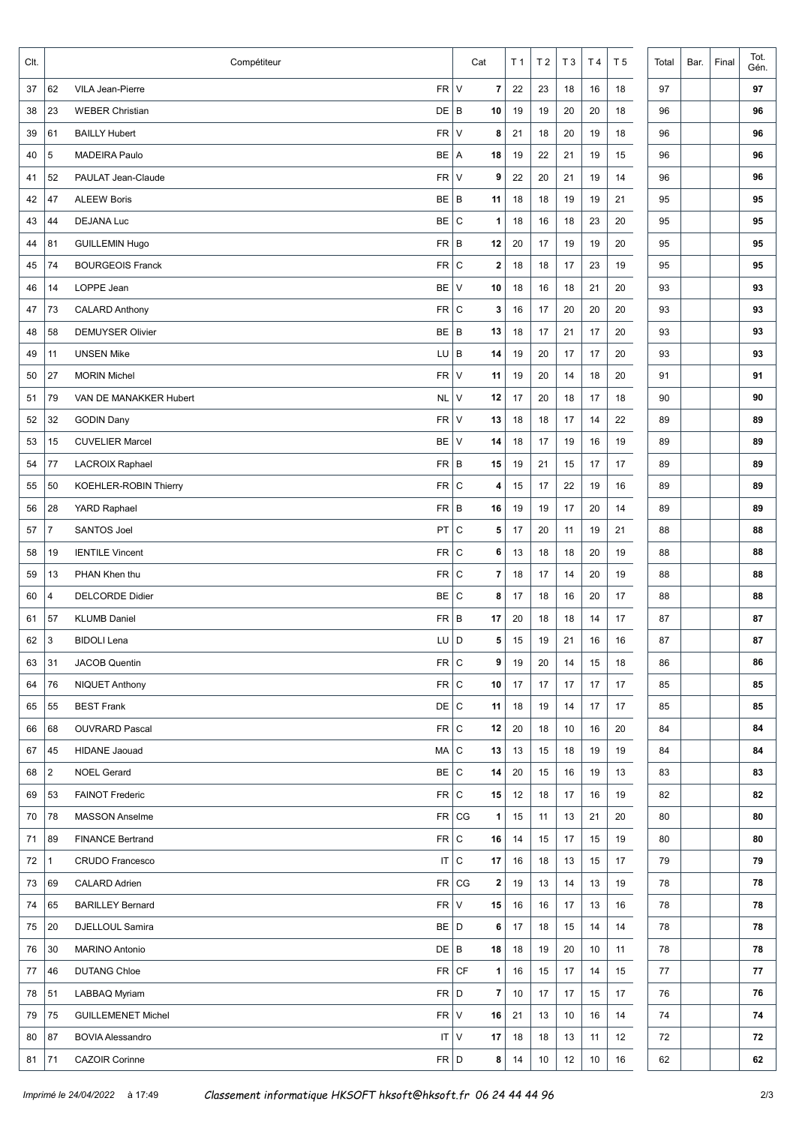| Clt. |                | Compétiteur                                | Cat                         | T <sub>1</sub> | T <sub>2</sub> | T <sub>3</sub> | T <sub>4</sub> | T <sub>5</sub> | Total | Bar. | Final | Tot.<br>Gén. |
|------|----------------|--------------------------------------------|-----------------------------|----------------|----------------|----------------|----------------|----------------|-------|------|-------|--------------|
| 37   | 62             | $FR$ V<br>VILA Jean-Pierre                 | $\overline{\mathbf{r}}$     | 22             | 23             | 18             | 16             | 18             | 97    |      |       | 97           |
| 38   | 23             | $DE$ $B$<br><b>WEBER Christian</b>         | 10                          | 19             | 19             | 20             | 20             | 18             | 96    |      |       | 96           |
| 39   | 61             | $FR$ V<br><b>BAILLY Hubert</b>             | 8                           | 21             | 18             | 20             | 19             | 18             | 96    |      |       | 96           |
| 40   | 5              | <b>MADEIRA Paulo</b><br>$BE$ A             | 18                          | 19             | 22             | 21             | 19             | 15             | 96    |      |       | 96           |
| 41   | 52             | $FR$ V<br>PAULAT Jean-Claude               | 9                           | 22             | 20             | 21             | 19             | 14             | 96    |      |       | 96           |
| 42   | 47             | $BE$ $B$<br><b>ALEEW Boris</b>             | 11                          | 18             | 18             | 19             | 19             | 21             | 95    |      |       | 95           |
| 43   | 44             | BE<br><b>DEJANA Luc</b>                    | $\mathsf{C}$<br>1           | 18             | 16             | 18             | 23             | 20             | 95    |      |       | 95           |
| 44   | 81             | $FR \mid B$<br><b>GUILLEMIN Hugo</b>       | 12                          | 20             | 17             | 19             | 19             | 20             | 95    |      |       | 95           |
| 45   | 74             | FR <sub>2</sub><br><b>BOURGEOIS Franck</b> | $\mathsf{C}$<br>$\mathbf 2$ | 18             | 18             | 17             | 23             | 19             | 95    |      |       | 95           |
| 46   | 14             | LOPPE Jean<br>BE                           | $\vee$<br>10                | 18             | 16             | 18             | 21             | 20             | 93    |      |       | 93           |
| 47   | 73             | FR C<br><b>CALARD Anthony</b>              | 3                           | 16             | 17             | 20             | 20             | 20             | 93    |      |       | 93           |
| 48   | 58             | $BE$ $B$<br><b>DEMUYSER Olivier</b>        | 13                          | 18             | 17             | 21             | 17             | 20             | 93    |      |       | 93           |
| 49   | 11             | $LU$ $B$<br><b>UNSEN Mike</b>              | 14                          | 19             | 20             | 17             | 17             | 20             | 93    |      |       | 93           |
| 50   | 27             | FR<br><b>MORIN Michel</b>                  | $\vee$<br>11                | 19             | 20             | 14             | 18             | 20             | 91    |      |       | 91           |
| 51   | 79             | VAN DE MANAKKER Hubert<br>NL               | $\vee$<br>12                | 17             | 20             | 18             | 17             | 18             | 90    |      |       | 90           |
| 52   | 32             | $FR$ V<br><b>GODIN Dany</b>                | 13                          | 18             | 18             | 17             | 14             | 22             | 89    |      |       | 89           |
| 53   | 15             | BE  <br><b>CUVELIER Marcel</b>             | $\vee$<br>14                | 18             | 17             | 19             | 16             | 19             | 89    |      |       | 89           |
| 54   | 77             | $FR$ B<br>LACROIX Raphael                  | 15                          | 19             | 21             | 15             | 17             | 17             | 89    |      |       | 89           |
| 55   | 50             | FR C<br>KOEHLER-ROBIN Thierry              | 4                           | 15             | 17             | 22             | 19             | 16             | 89    |      |       | 89           |
| 56   | 28             | $FR \mid B$<br>YARD Raphael                | 16                          | 19             | 19             | 17             | 20             | 14             | 89    |      |       | 89           |
| 57   | $\overline{7}$ | PT<br><b>SANTOS Joel</b>                   | $\mathsf{C}$<br>5           | 17             | 20             | 11             | 19             | 21             | 88    |      |       | 88           |
| 58   | 19             | FR<br><b>IENTILE Vincent</b>               | $\mathsf{C}$<br>6           | 13             | 18             | 18             | 20             | 19             | 88    |      |       | 88           |
| 59   | 13             | FR  <br>PHAN Khen thu                      | l c<br>7                    | 18             | 17             | 14             | 20             | 19             | 88    |      |       | 88           |
| 60   | 4              | BE C<br><b>DELCORDE Didier</b>             | 8                           | 17             | 18             | 16             | 20             | 17             | 88    |      |       | 88           |
| 61   | 57             | $FR \mid B$<br><b>KLUMB Daniel</b>         | 17                          | 20             | 18             | 18             | 14             | 17             | 87    |      |       | 87           |
| 62   | 3              | $LU$ $D$<br><b>BIDOLI</b> Lena             | 5                           | $15\,$         | $19$           | 21             | $16\,$         | $16\,$         | 87    |      |       | 87           |
| 63   | 31             | FR C<br><b>JACOB Quentin</b>               | 9                           | 19             | 20             | 14             | 15             | 18             | 86    |      |       | 86           |
| 64   | 76             | $FR$ C<br><b>NIQUET Anthony</b>            | 10 <sub>1</sub>             | 17             | 17             | 17             | 17             | 17             | 85    |      |       | 85           |
| 65   | 55             | DE C<br><b>BEST Frank</b>                  | 11                          | 18             | 19             | 14             | 17             | 17             | 85    |      |       | 85           |
| 66   | 68             | $FR$ C<br><b>OUVRARD Pascal</b>            | 12                          | 20             | 18             | 10             | 16             | 20             | 84    |      |       | 84           |
| 67   | 45             | $MA$ $C$<br><b>HIDANE Jaouad</b>           | 13                          | 13             | 15             | 18             | 19             | 19             | 84    |      |       | 84           |
| 68   | $\overline{2}$ | BE C<br><b>NOEL Gerard</b>                 | 14                          | 20             | 15             | 16             | 19             | 13             | 83    |      |       | 83           |
| 69   | 53             | $FR$ $C$<br><b>FAINOT Frederic</b>         | 15                          | 12             | 18             | 17             | 16             | 19             | 82    |      |       | 82           |
| 70   | 78             | <b>MASSON Anselme</b>                      | $FR$ CG<br>1                | 15             | 11             | 13             | 21             | 20             | 80    |      |       | 80           |
| 71   | 89             | $FR$ $C$<br><b>FINANCE Bertrand</b>        | 16                          | 14             | 15             | 17             | 15             | 19             | 80    |      |       | 80           |
| 72   | $\mathbf{1}$   | <b>CRUDO Francesco</b>                     | IT C<br>17                  | 16             | 18             | 13             | 15             | 17             | 79    |      |       | 79           |
| 73   | 69             | CALARD Adrien                              | $FR$ CG<br>2                | 19             | 13             | 14             | 13             | 19             | 78    |      |       | 78           |
| 74   | 65             | $FR$ V<br><b>BARILLEY Bernard</b>          | 15                          | 16             | 16             | 17             | 13             | 16             | 78    |      |       | 78           |
| 75   | 20             | $BE$ D<br>DJELLOUL Samira                  | 6                           | 17             | 18             | 15             | 14             | 14             | 78    |      |       | 78           |
| 76   | 30             | $DE$ $B$<br><b>MARINO Antonio</b>          | 18                          | 18             | 19             | 20             | 10             | 11             | 78    |      |       | 78           |
| 77   | 46             | <b>DUTANG Chloe</b>                        | $FR$ CF<br>$\mathbf{1}$     | 16             | 15             | 17             | 14             | 15             | 77    |      |       | 77           |
| 78   | 51             | $FR$ D<br>LABBAQ Myriam                    | 7                           | 10             | 17             | 17             | 15             | 17             | 76    |      |       | 76           |
| 79   | 75             | $FR$ V<br><b>GUILLEMENET Michel</b>        | 16                          | 21             | 13             | 10             | 16             | 14             | 74    |      |       | 74           |
| 80   | 87             | $IT$ V<br><b>BOVIA Alessandro</b>          | 17                          | 18             | 18             | 13             | 11             | 12             | 72    |      |       | 72           |
| 81   | 71             | $FR$ D<br><b>CAZOIR Corinne</b>            | 8                           | 14             | 10             | 12             | 10             | 16             | 62    |      |       | 62           |